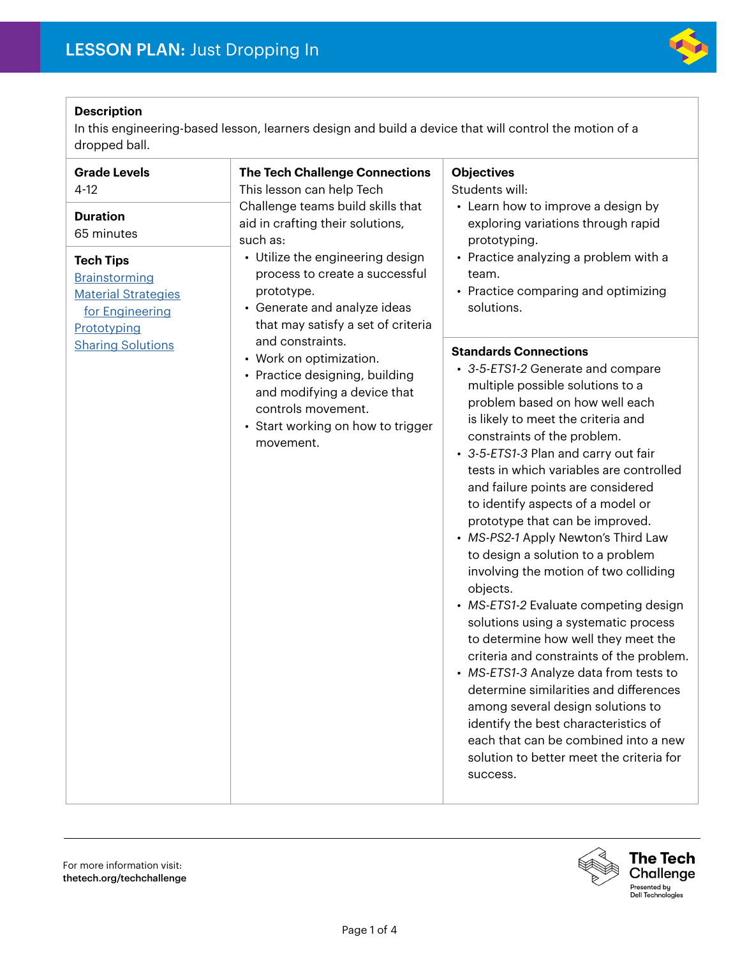

# **Description**

In this engineering-based lesson, learners design and build a device that will control the motion of a dropped ball.

| <b>Grade Levels</b><br>$4 - 12$<br><b>Duration</b><br>65 minutes<br><b>Tech Tips</b><br>Brainstorming<br><b>Material Strategies</b><br>for Engineering<br>Prototyping | <b>The Tech Challenge Connections</b><br>This lesson can help Tech<br>Challenge teams build skills that<br>aid in crafting their solutions,<br>such as:<br>• Utilize the engineering design<br>process to create a successful<br>prototype.<br>• Generate and analyze ideas<br>that may satisfy a set of criteria<br>and constraints.<br>• Work on optimization.<br>• Practice designing, building<br>and modifying a device that<br>controls movement.<br>• Start working on how to trigger<br>movement. | <b>Objectives</b><br>Students will:<br>• Learn how to improve a design by<br>exploring variations through rapid<br>prototyping.<br>• Practice analyzing a problem with a<br>team.<br>• Practice comparing and optimizing<br>solutions.                                                                                                                                                                                                                                                                                                                                                                                                                                                                                                                                                                                                                                                                                                                                             |
|-----------------------------------------------------------------------------------------------------------------------------------------------------------------------|-----------------------------------------------------------------------------------------------------------------------------------------------------------------------------------------------------------------------------------------------------------------------------------------------------------------------------------------------------------------------------------------------------------------------------------------------------------------------------------------------------------|------------------------------------------------------------------------------------------------------------------------------------------------------------------------------------------------------------------------------------------------------------------------------------------------------------------------------------------------------------------------------------------------------------------------------------------------------------------------------------------------------------------------------------------------------------------------------------------------------------------------------------------------------------------------------------------------------------------------------------------------------------------------------------------------------------------------------------------------------------------------------------------------------------------------------------------------------------------------------------|
| <b>Sharing Solutions</b>                                                                                                                                              |                                                                                                                                                                                                                                                                                                                                                                                                                                                                                                           | <b>Standards Connections</b><br>• 3-5-ETS1-2 Generate and compare<br>multiple possible solutions to a<br>problem based on how well each<br>is likely to meet the criteria and<br>constraints of the problem.<br>• 3-5-ETS1-3 Plan and carry out fair<br>tests in which variables are controlled<br>and failure points are considered<br>to identify aspects of a model or<br>prototype that can be improved.<br>• MS-PS2-1 Apply Newton's Third Law<br>to design a solution to a problem<br>involving the motion of two colliding<br>objects.<br>• MS-ETS1-2 Evaluate competing design<br>solutions using a systematic process<br>to determine how well they meet the<br>criteria and constraints of the problem.<br>• MS-ETS1-3 Analyze data from tests to<br>determine similarities and differences<br>among several design solutions to<br>identify the best characteristics of<br>each that can be combined into a new<br>solution to better meet the criteria for<br>success. |

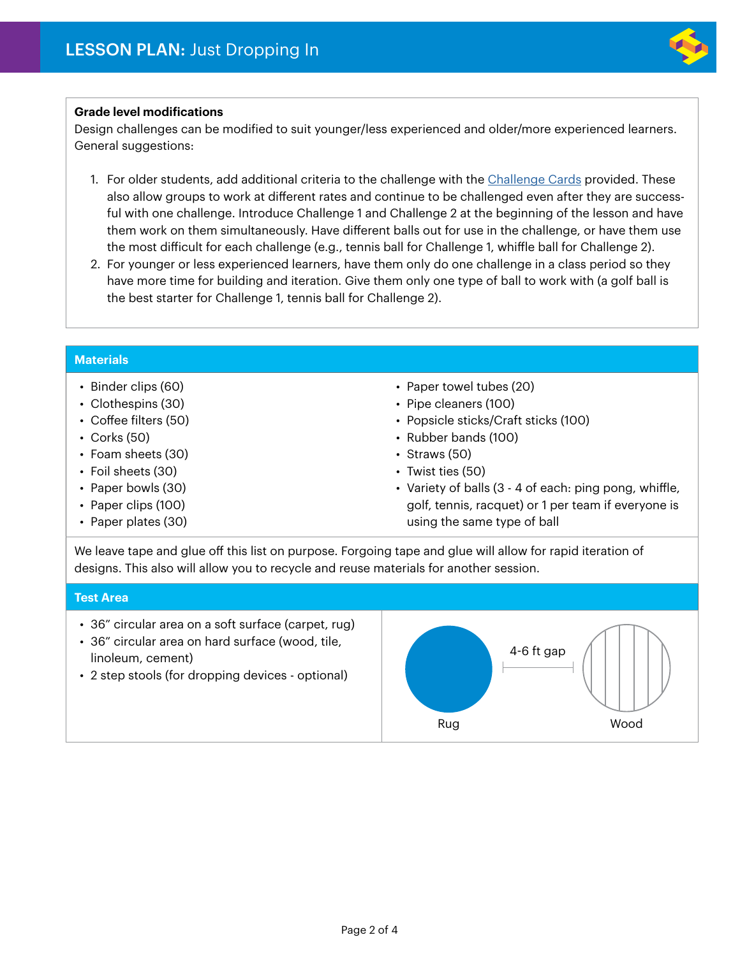

# **Grade level modifications**

Design challenges can be modified to suit younger/less experienced and older/more experienced learners. General suggestions:

- 1. For older students, add additional criteria to the challenge with the [Challenge Cards](#page-4-0) provided. These also allow groups to work at different rates and continue to be challenged even after they are successful with one challenge. Introduce Challenge 1 and Challenge 2 at the beginning of the lesson and have them work on them simultaneously. Have different balls out for use in the challenge, or have them use the most difficult for each challenge (e.g., tennis ball for Challenge 1, whiffle ball for Challenge 2).
- 2. For younger or less experienced learners, have them only do one challenge in a class period so they have more time for building and iteration. Give them only one type of ball to work with (a golf ball is the best starter for Challenge 1, tennis ball for Challenge 2).

### **Materials**

- Binder clips (60)
- Clothespins (30)
- Coffee filters (50)
- Corks (50)
- Foam sheets (30)
- Foil sheets (30)
- Paper bowls (30)
- Paper clips (100)
- Paper plates (30)
- Paper towel tubes (20)
- Pipe cleaners (100)
- Popsicle sticks/Craft sticks (100)
- Rubber bands (100)
- Straws (50)
- Twist ties (50)
- Variety of balls (3 4 of each: ping pong, whiffle, golf, tennis, racquet) or 1 per team if everyone is using the same type of ball

We leave tape and glue off this list on purpose. Forgoing tape and glue will allow for rapid iteration of designs. This also will allow you to recycle and reuse materials for another session.

### **Test Area**

- 36" circular area on a soft surface (carpet, rug)
- 36" circular area on hard surface (wood, tile, linoleum, cement)
- 2 step stools (for dropping devices optional)

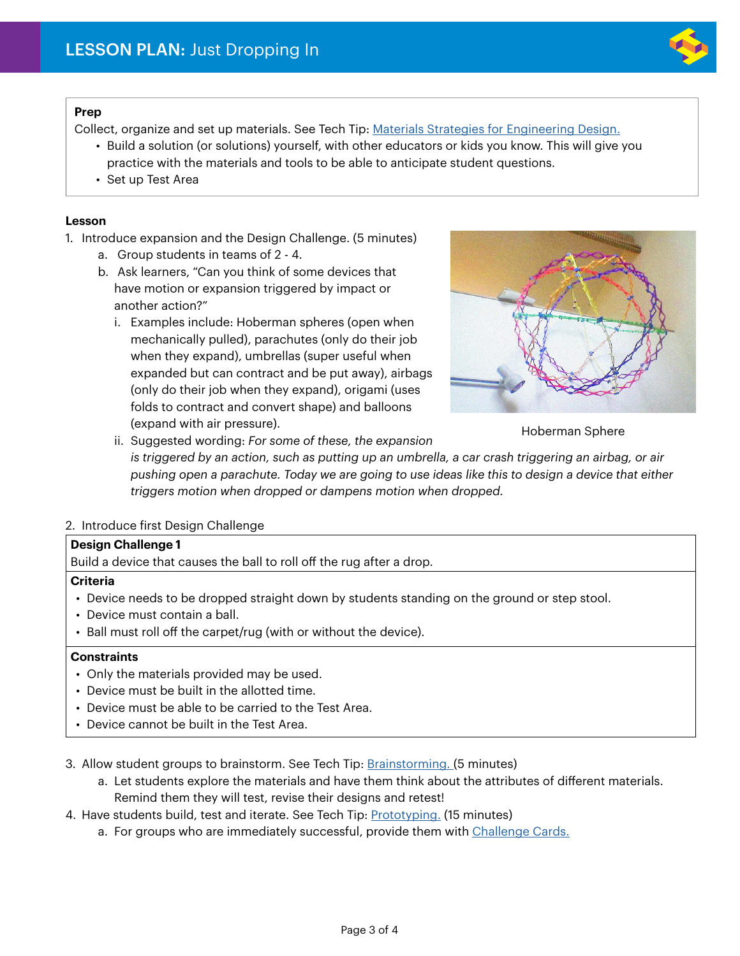

# **Prep**

Collect, organize and set up materials. See Tech Tip: [Materials Strategies for Engineering Design.](https://drive.google.com/file/d/1Wf315NMdZyQplhiVbikWoTkI3zShvvDR/view)

- Build a solution (or solutions) yourself, with other educators or kids you know. This will give you practice with the materials and tools to be able to anticipate student questions.
- Set up Test Area

### **Lesson**

1. Introduce expansion and the Design Challenge. (5 minutes)

- a. Group students in teams of 2 4.
- b. Ask learners, "Can you think of some devices that have motion or expansion triggered by impact or another action?"
	- i. Examples include: Hoberman spheres (open when mechanically pulled), parachutes (only do their job when they expand), umbrellas (super useful when expanded but can contract and be put away), airbags (only do their job when they expand), origami (uses folds to contract and convert shape) and balloons (expand with air pressure).



Hoberman Sphere

ii. Suggested wording: *For some of these, the expansion is triggered by an action, such as putting up an umbrella, a car crash triggering an airbag, or air pushing open a parachute. Today we are going to use ideas like this to design a device that either triggers motion when dropped or dampens motion when dropped.*

# 2. Introduce first Design Challenge

#### **Design Challenge 1**

Build a device that causes the ball to roll off the rug after a drop.

#### **Criteria**

- Device needs to be dropped straight down by students standing on the ground or step stool.
- Device must contain a ball.
- Ball must roll off the carpet/rug (with or without the device).

# **Constraints**

- Only the materials provided may be used.
- Device must be built in the allotted time.
- Device must be able to be carried to the Test Area.
- Device cannot be built in the Test Area.
- 3. Allow student groups to brainstorm. See Tech Tip: [Brainstorming.](https://www.thetech.org/sites/default/files/techtip_brainstorming.pdf) (5 minutes)
	- a. Let students explore the materials and have them think about the attributes of different materials. Remind them they will test, revise their designs and retest!
- 4. Have students build, test and iterate. See Tech Tip: [Prototyping.](https://drive.google.com/file/d/11AzV6wt0TKZWcuoHmJwogtuPD5Dc1xIv/view) (15 minutes)
	- a. For groups who are immediately successful, provide them with [Challenge Cards.](#page-4-0)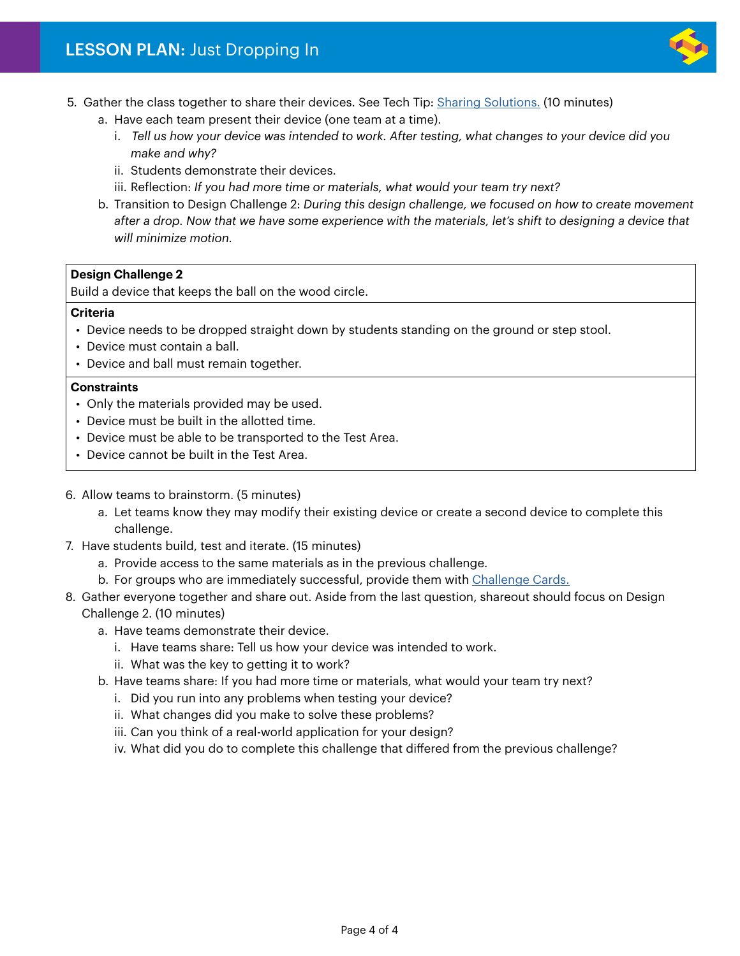

- 5. Gather the class together to share their devices. See Tech Tip: [Sharing Solutions.](https://drive.google.com/file/d/1XlIBTM4GVTfcweVbddXm9n42tjUZ8h8x/view) (10 minutes)
	- a. Have each team present their device (one team at a time).
		- i. *Tell us how your device was intended to work. After testing, what changes to your device did you make and why?*
		- ii. Students demonstrate their devices.
		- iii. Reflection: *If you had more time or materials, what would your team try next?*
	- b. Transition to Design Challenge 2: *During this design challenge, we focused on how to create movement after a drop. Now that we have some experience with the materials, let's shift to designing a device that will minimize motion.*

# **Design Challenge 2**

Build a device that keeps the ball on the wood circle.

### **Criteria**

- Device needs to be dropped straight down by students standing on the ground or step stool.
- Device must contain a ball.
- Device and ball must remain together.

### **Constraints**

- Only the materials provided may be used.
- Device must be built in the allotted time.
- Device must be able to be transported to the Test Area.
- Device cannot be built in the Test Area.
- 6. Allow teams to brainstorm. (5 minutes)
	- a. Let teams know they may modify their existing device or create a second device to complete this challenge.
- 7. Have students build, test and iterate. (15 minutes)
	- a. Provide access to the same materials as in the previous challenge.
	- b. For groups who are immediately successful, provide them with [Challenge Cards.](#page-4-0)
- 8. Gather everyone together and share out. Aside from the last question, shareout should focus on Design

# Challenge 2. (10 minutes)

- a. Have teams demonstrate their device.
	- i. Have teams share: Tell us how your device was intended to work.
	- ii. What was the key to getting it to work?
- b. Have teams share: If you had more time or materials, what would your team try next?
	- i. Did you run into any problems when testing your device?
	- ii. What changes did you make to solve these problems?
	- iii. Can you think of a real-world application for your design?
	- iv. What did you do to complete this challenge that differed from the previous challenge?